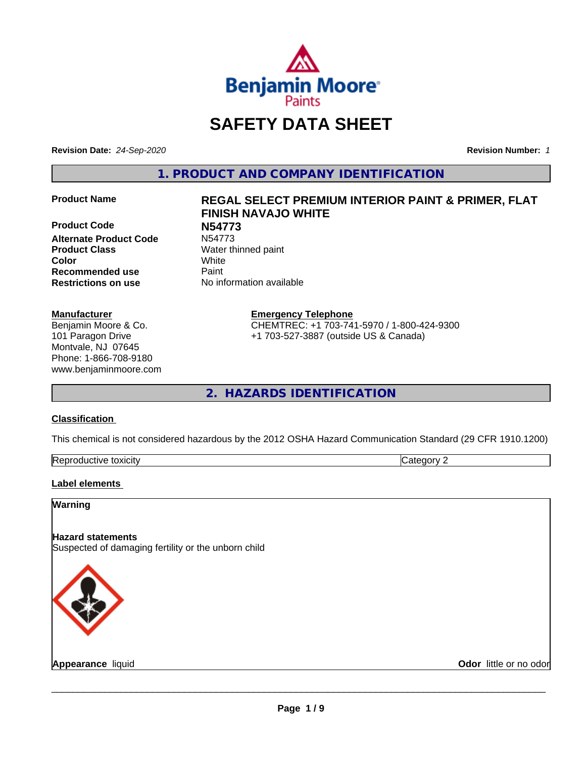

# **SAFETY DATA SHEET**

**Revision Date:** *24-Sep-2020* **Revision Number:** *1*

**1. PRODUCT AND COMPANY IDENTIFICATION**

**Product Code 199773**<br> **Alternate Product Code** N54773 **Alternate Product Code Product Class** Water thinned paint **Color** White **Recommended use Caint Restrictions on use** No information available

#### **Manufacturer**

Benjamin Moore & Co. 101 Paragon Drive Montvale, NJ 07645 Phone: 1-866-708-9180 www.benjaminmoore.com

# **Product Name REGAL SELECT PREMIUM INTERIOR PAINT & PRIMER, FLAT FINISH NAVAJO WHITE**

**Emergency Telephone**

CHEMTREC: +1 703-741-5970 / 1-800-424-9300 +1 703-527-3887 (outside US & Canada)

**2. HAZARDS IDENTIFICATION**

#### **Classification**

This chemical is not considered hazardous by the 2012 OSHA Hazard Communication Standard (29 CFR 1910.1200)

| toxicity<br>Repr.<br>oductive | ĸ<br>-- - --<br>.ат<br>ιr<br>51 J L |
|-------------------------------|-------------------------------------|

#### **Label elements**

#### **Warning**

#### **Hazard statements**

Suspected of damaging fertility or the unborn child



**Appearance** liquid **Contract Contract Contract Contract Contract Contract Contract Contract Contract Contract Contract Contract Contract Contract Contract Contract Contract Contract Contract Contract Contract Contract Con**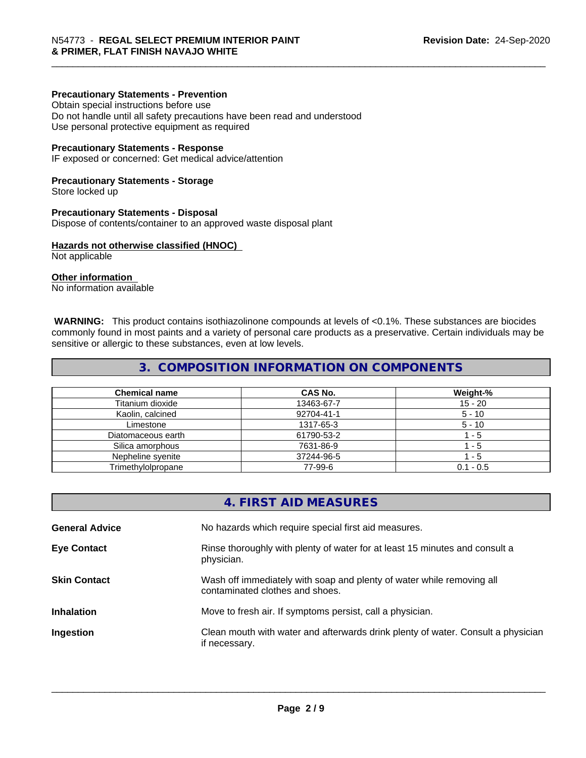#### **Precautionary Statements - Prevention**

Obtain special instructions before use Do not handle until all safety precautions have been read and understood Use personal protective equipment as required

#### **Precautionary Statements - Response**

IF exposed or concerned: Get medical advice/attention

#### **Precautionary Statements - Storage**

Store locked up

#### **Precautionary Statements - Disposal**

Dispose of contents/container to an approved waste disposal plant

#### **Hazards not otherwise classified (HNOC)**

Not applicable

#### **Other information**

No information available

 **WARNING:** This product contains isothiazolinone compounds at levels of <0.1%. These substances are biocides commonly found in most paints and a variety of personal care products as a preservative. Certain individuals may be sensitive or allergic to these substances, even at low levels.

#### **3. COMPOSITION INFORMATION ON COMPONENTS**

| <b>Chemical name</b> | CAS No.    | Weight-%    |
|----------------------|------------|-------------|
| Titanium dioxide     | 13463-67-7 | 15 - 20     |
| Kaolin, calcined     | 92704-41-1 | $5 - 10$    |
| Limestone            | 1317-65-3  | $5 - 10$    |
| Diatomaceous earth   | 61790-53-2 | - 5         |
| Silica amorphous     | 7631-86-9  | - 5         |
| Nepheline syenite    | 37244-96-5 | - 5         |
| Trimethylolpropane   | 77-99-6    | $0.1 - 0.5$ |

|                       | 4. FIRST AID MEASURES                                                                                    |
|-----------------------|----------------------------------------------------------------------------------------------------------|
| <b>General Advice</b> | No hazards which require special first aid measures.                                                     |
| <b>Eye Contact</b>    | Rinse thoroughly with plenty of water for at least 15 minutes and consult a<br>physician.                |
| <b>Skin Contact</b>   | Wash off immediately with soap and plenty of water while removing all<br>contaminated clothes and shoes. |
| <b>Inhalation</b>     | Move to fresh air. If symptoms persist, call a physician.                                                |
| Ingestion             | Clean mouth with water and afterwards drink plenty of water. Consult a physician<br>if necessary.        |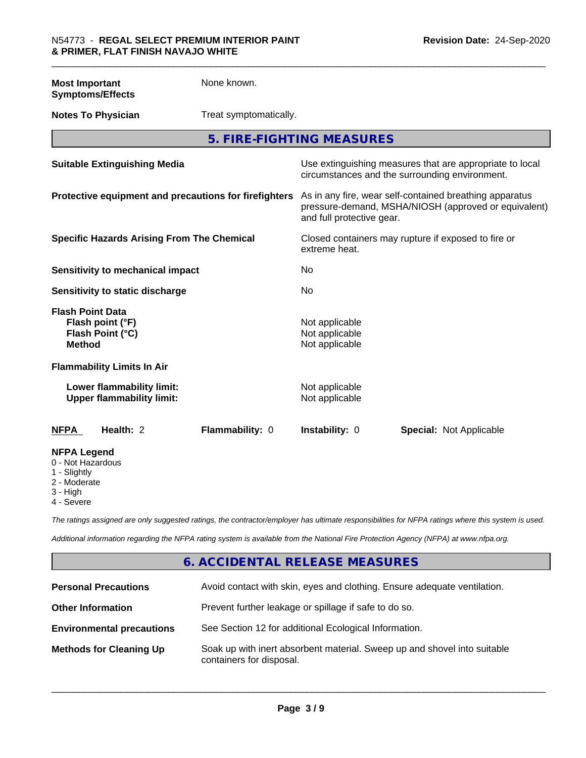**Most Important Symptoms/Effects** None known.

**Notes To Physician** Treat symptomatically.

**5. FIRE-FIGHTING MEASURES**

| <b>Suitable Extinguishing Media</b>                                              | Use extinguishing measures that are appropriate to local<br>circumstances and the surrounding environment.                                   |
|----------------------------------------------------------------------------------|----------------------------------------------------------------------------------------------------------------------------------------------|
| Protective equipment and precautions for firefighters                            | As in any fire, wear self-contained breathing apparatus<br>pressure-demand, MSHA/NIOSH (approved or equivalent)<br>and full protective gear. |
| <b>Specific Hazards Arising From The Chemical</b>                                | Closed containers may rupture if exposed to fire or<br>extreme heat.                                                                         |
| Sensitivity to mechanical impact                                                 | No                                                                                                                                           |
| Sensitivity to static discharge                                                  | No                                                                                                                                           |
| <b>Flash Point Data</b><br>Flash point (°F)<br>Flash Point (°C)<br><b>Method</b> | Not applicable<br>Not applicable<br>Not applicable                                                                                           |
| <b>Flammability Limits In Air</b>                                                |                                                                                                                                              |
| Lower flammability limit:<br><b>Upper flammability limit:</b>                    | Not applicable<br>Not applicable                                                                                                             |
| <b>NFPA</b><br>Health: 2<br>Flammability: 0                                      | <b>Instability: 0</b><br><b>Special: Not Applicable</b>                                                                                      |
| <b>NFPA Legend</b><br>0 - Not Hazardous<br>1 - Slightly                          |                                                                                                                                              |

2 - Moderate

3 - High

4 - Severe

*The ratings assigned are only suggested ratings, the contractor/employer has ultimate responsibilities for NFPA ratings where this system is used.*

*Additional information regarding the NFPA rating system is available from the National Fire Protection Agency (NFPA) at www.nfpa.org.*

# **6. ACCIDENTAL RELEASE MEASURES**

| <b>Personal Precautions</b>      | Avoid contact with skin, eyes and clothing. Ensure adequate ventilation.                             |
|----------------------------------|------------------------------------------------------------------------------------------------------|
| <b>Other Information</b>         | Prevent further leakage or spillage if safe to do so.                                                |
| <b>Environmental precautions</b> | See Section 12 for additional Ecological Information.                                                |
| <b>Methods for Cleaning Up</b>   | Soak up with inert absorbent material. Sweep up and shovel into suitable<br>containers for disposal. |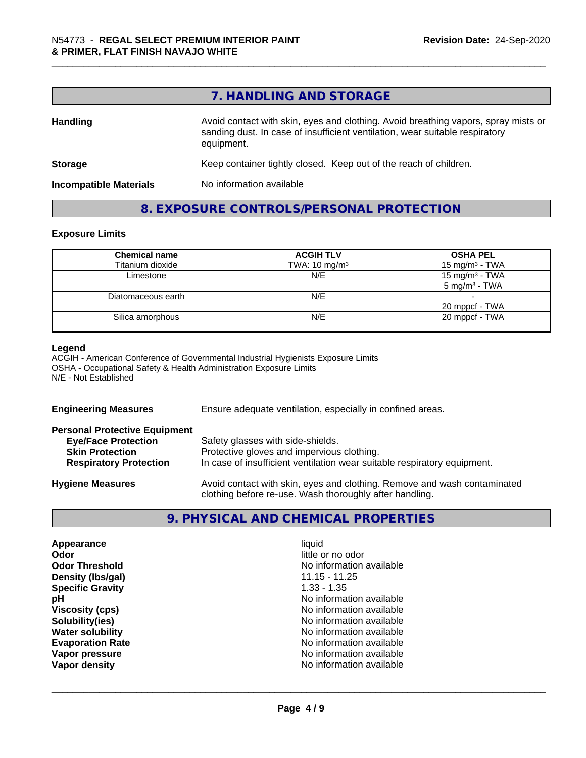|                               | 7. HANDLING AND STORAGE                                                                                                                                                          |
|-------------------------------|----------------------------------------------------------------------------------------------------------------------------------------------------------------------------------|
| <b>Handling</b>               | Avoid contact with skin, eyes and clothing. Avoid breathing vapors, spray mists or<br>sanding dust. In case of insufficient ventilation, wear suitable respiratory<br>equipment. |
| <b>Storage</b>                | Keep container tightly closed. Keep out of the reach of children.                                                                                                                |
| <b>Incompatible Materials</b> | No information available                                                                                                                                                         |

# **8. EXPOSURE CONTROLS/PERSONAL PROTECTION**

#### **Exposure Limits**

| <b>Chemical name</b> | <b>ACGIH TLV</b>         | <b>OSHA PEL</b>                               |
|----------------------|--------------------------|-----------------------------------------------|
| Titanium dioxide     | TWA: $10 \text{ mg/m}^3$ | 15 mg/m <sup>3</sup> - TWA                    |
| Limestone            | N/E                      | 15 mg/m $3$ - TWA<br>$5 \text{ mg/m}^3$ - TWA |
| Diatomaceous earth   | N/E                      | 20 mppcf - TWA                                |
| Silica amorphous     | N/E                      | 20 mppcf - TWA                                |

#### **Legend**

ACGIH - American Conference of Governmental Industrial Hygienists Exposure Limits OSHA - Occupational Safety & Health Administration Exposure Limits N/E - Not Established

| <b>Engineering Measures</b>          | Ensure adequate ventilation, especially in confined areas.                                                                          |  |
|--------------------------------------|-------------------------------------------------------------------------------------------------------------------------------------|--|
| <b>Personal Protective Equipment</b> |                                                                                                                                     |  |
| <b>Eye/Face Protection</b>           | Safety glasses with side-shields.                                                                                                   |  |
| <b>Skin Protection</b>               | Protective gloves and impervious clothing.                                                                                          |  |
| <b>Respiratory Protection</b>        | In case of insufficient ventilation wear suitable respiratory equipment.                                                            |  |
| <b>Hygiene Measures</b>              | Avoid contact with skin, eyes and clothing. Remove and wash contaminated<br>clothing before re-use. Wash thoroughly after handling. |  |

# **9. PHYSICAL AND CHEMICAL PROPERTIES**

| Appearance              | liquid                   |
|-------------------------|--------------------------|
| Odor                    | little or no odor        |
| <b>Odor Threshold</b>   | No information available |
| Density (Ibs/gal)       | $11.15 - 11.25$          |
| <b>Specific Gravity</b> | $1.33 - 1.35$            |
| рH                      | No information available |
| <b>Viscosity (cps)</b>  | No information available |
| Solubility(ies)         | No information available |
| <b>Water solubility</b> | No information available |
| <b>Evaporation Rate</b> | No information available |
| Vapor pressure          | No information available |
| Vapor density           | No information available |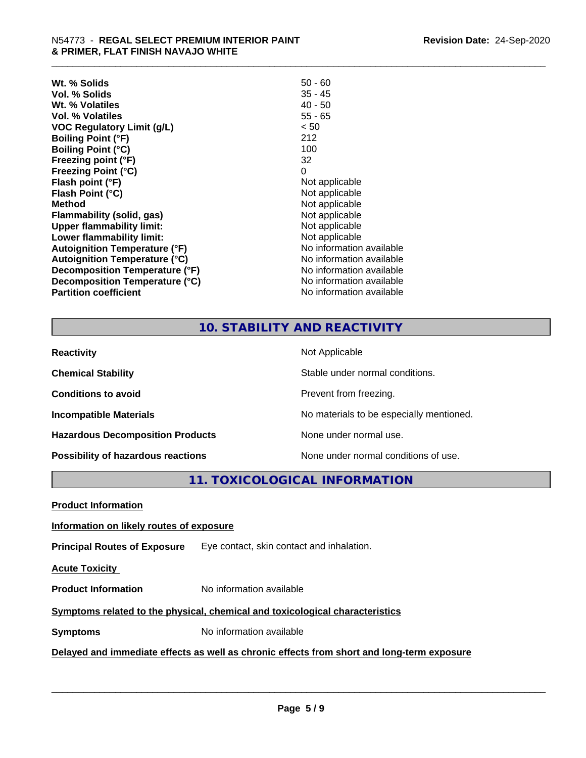| Wt. % Solids                         | $50 - 60$                |
|--------------------------------------|--------------------------|
| Vol. % Solids                        | $35 - 45$                |
| Wt. % Volatiles                      | $40 - 50$                |
| Vol. % Volatiles                     | $55 - 65$                |
| <b>VOC Regulatory Limit (g/L)</b>    | < 50                     |
| <b>Boiling Point (°F)</b>            | 212                      |
| <b>Boiling Point (°C)</b>            | 100                      |
| Freezing point (°F)                  | 32                       |
| <b>Freezing Point (°C)</b>           | 0                        |
| Flash point (°F)                     | Not applicable           |
| Flash Point (°C)                     | Not applicable           |
| <b>Method</b>                        | Not applicable           |
| Flammability (solid, gas)            | Not applicable           |
| <b>Upper flammability limit:</b>     | Not applicable           |
| Lower flammability limit:            | Not applicable           |
| <b>Autoignition Temperature (°F)</b> | No information available |
| <b>Autoignition Temperature (°C)</b> | No information available |
| Decomposition Temperature (°F)       | No information available |
| Decomposition Temperature (°C)       | No information available |
| <b>Partition coefficient</b>         | No information available |

## **10. STABILITY AND REACTIVITY**

| <b>Reactivity</b>                       | Not Applicable                           |
|-----------------------------------------|------------------------------------------|
| <b>Chemical Stability</b>               | Stable under normal conditions.          |
| <b>Conditions to avoid</b>              | Prevent from freezing.                   |
| <b>Incompatible Materials</b>           | No materials to be especially mentioned. |
| <b>Hazardous Decomposition Products</b> | None under normal use.                   |
| Possibility of hazardous reactions      | None under normal conditions of use.     |

**11. TOXICOLOGICAL INFORMATION**

**Product Information**

#### **Information on likely routes of exposure**

**Principal Routes of Exposure** Eye contact, skin contact and inhalation.

**Acute Toxicity** 

**Product Information** No information available

#### **Symptoms** related to the physical, chemical and toxicological characteristics

**Symptoms** No information available

#### **Delayed and immediate effects as well as chronic effects from short and long-term exposure**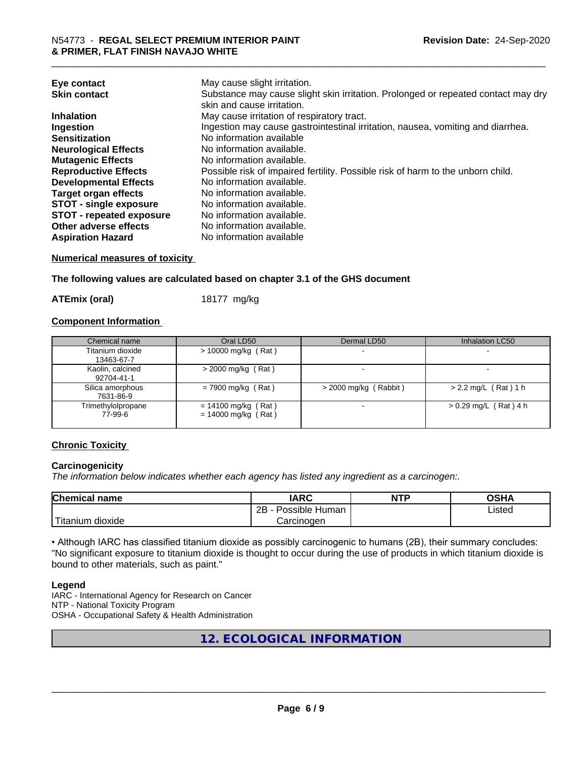| Eye contact<br><b>Skin contact</b> | May cause slight irritation.<br>Substance may cause slight skin irritation. Prolonged or repeated contact may dry<br>skin and cause irritation. |
|------------------------------------|-------------------------------------------------------------------------------------------------------------------------------------------------|
| <b>Inhalation</b>                  | May cause irritation of respiratory tract.                                                                                                      |
| Ingestion                          | Ingestion may cause gastrointestinal irritation, nausea, vomiting and diarrhea.                                                                 |
| <b>Sensitization</b>               | No information available                                                                                                                        |
| <b>Neurological Effects</b>        | No information available.                                                                                                                       |
| <b>Mutagenic Effects</b>           | No information available.                                                                                                                       |
| <b>Reproductive Effects</b>        | Possible risk of impaired fertility. Possible risk of harm to the unborn child.                                                                 |
| <b>Developmental Effects</b>       | No information available.                                                                                                                       |
| <b>Target organ effects</b>        | No information available.                                                                                                                       |
| <b>STOT - single exposure</b>      | No information available.                                                                                                                       |
| <b>STOT - repeated exposure</b>    | No information available.                                                                                                                       |
| Other adverse effects              | No information available.                                                                                                                       |
| <b>Aspiration Hazard</b>           | No information available                                                                                                                        |

#### **Numerical measures of toxicity**

**The following values are calculated based on chapter 3.1 of the GHS document**

**ATEmix (oral)** 18177 mg/kg

#### **Component Information**

| Chemical name                  | Oral LD50                                      | Dermal LD50           | Inhalation LC50         |
|--------------------------------|------------------------------------------------|-----------------------|-------------------------|
| Titanium dioxide<br>13463-67-7 | $> 10000$ mg/kg (Rat)                          |                       |                         |
| Kaolin, calcined<br>92704-41-1 | $>$ 2000 mg/kg (Rat)                           |                       |                         |
| Silica amorphous<br>7631-86-9  | $= 7900$ mg/kg (Rat)                           | > 2000 mg/kg (Rabbit) | $> 2.2$ mg/L (Rat) 1 h  |
| Trimethylolpropane<br>77-99-6  | $= 14100$ mg/kg (Rat)<br>$= 14000$ mg/kg (Rat) |                       | $> 0.29$ mg/L (Rat) 4 h |

#### **Chronic Toxicity**

#### **Carcinogenicity**

*The information below indicateswhether each agency has listed any ingredient as a carcinogen:.*

| <b>Chemical</b><br>name            | <b>IARC</b>                                | <b>NTP</b> | ດເ⊔າ<br>∪אח |
|------------------------------------|--------------------------------------------|------------|-------------|
|                                    | .<br>クロ<br>Human<br>Possible<br><u>_ _</u> |            | ∟isted      |
| .<br><br>dioxide<br><b>itanium</b> | Carcinogen                                 |            |             |

• Although IARC has classified titanium dioxide as possibly carcinogenic to humans (2B), their summary concludes: "No significant exposure to titanium dioxide is thought to occur during the use of products in which titanium dioxide is bound to other materials, such as paint."

#### **Legend**

IARC - International Agency for Research on Cancer NTP - National Toxicity Program OSHA - Occupational Safety & Health Administration

**12. ECOLOGICAL INFORMATION**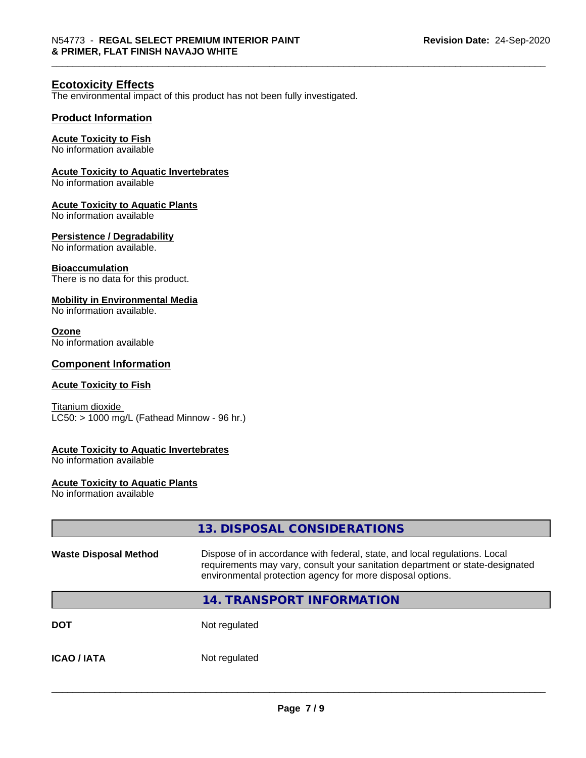#### **Ecotoxicity Effects**

The environmental impact of this product has not been fully investigated.

#### **Product Information**

#### **Acute Toxicity to Fish**

No information available

#### **Acute Toxicity to Aquatic Invertebrates**

No information available

#### **Acute Toxicity to Aquatic Plants**

No information available

#### **Persistence / Degradability**

No information available.

#### **Bioaccumulation**

There is no data for this product.

#### **Mobility in Environmental Media**

No information available.

#### **Ozone**

No information available

#### **Component Information**

#### **Acute Toxicity to Fish**

Titanium dioxide  $LC50:$  > 1000 mg/L (Fathead Minnow - 96 hr.)

#### **Acute Toxicity to Aquatic Invertebrates**

No information available

#### **Acute Toxicity to Aquatic Plants**

No information available

|                              | 13. DISPOSAL CONSIDERATIONS                                                                                                                                                                                               |  |
|------------------------------|---------------------------------------------------------------------------------------------------------------------------------------------------------------------------------------------------------------------------|--|
| <b>Waste Disposal Method</b> | Dispose of in accordance with federal, state, and local regulations. Local<br>requirements may vary, consult your sanitation department or state-designated<br>environmental protection agency for more disposal options. |  |
|                              | <b>14. TRANSPORT INFORMATION</b>                                                                                                                                                                                          |  |
| <b>DOT</b>                   | Not regulated                                                                                                                                                                                                             |  |
| <b>ICAO/IATA</b>             | Not regulated                                                                                                                                                                                                             |  |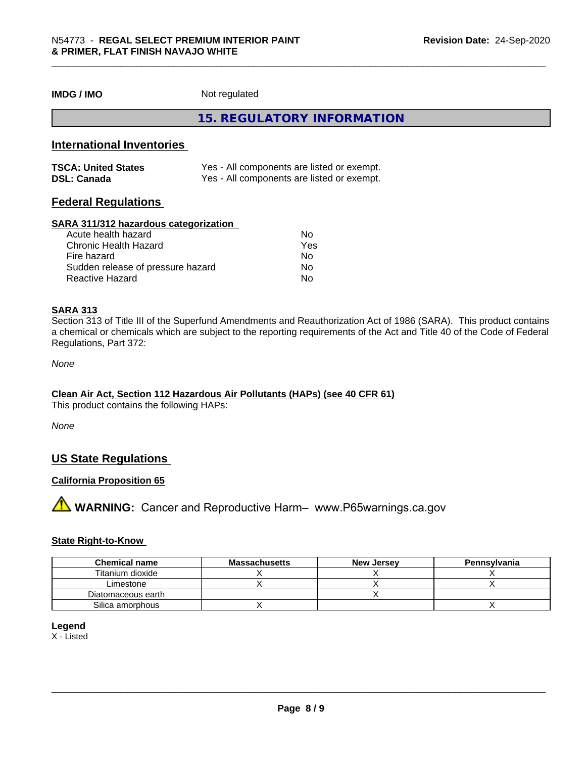**IMDG / IMO** Not regulated

**15. REGULATORY INFORMATION**

#### **International Inventories**

| <b>TSCA: United States</b> | Yes - All components are listed or exempt. |
|----------------------------|--------------------------------------------|
| <b>DSL: Canada</b>         | Yes - All components are listed or exempt. |

### **Federal Regulations**

#### **SARA 311/312 hazardous categorization**

| Acute health hazard               | No  |  |
|-----------------------------------|-----|--|
| Chronic Health Hazard             | Yes |  |
| Fire hazard                       | No  |  |
| Sudden release of pressure hazard | Nο  |  |
| Reactive Hazard                   | Nο  |  |

#### **SARA 313**

Section 313 of Title III of the Superfund Amendments and Reauthorization Act of 1986 (SARA). This product contains a chemical or chemicals which are subject to the reporting requirements of the Act and Title 40 of the Code of Federal Regulations, Part 372:

*None*

#### **Clean Air Act,Section 112 Hazardous Air Pollutants (HAPs) (see 40 CFR 61)**

This product contains the following HAPs:

*None*

#### **US State Regulations**

#### **California Proposition 65**

**A** WARNING: Cancer and Reproductive Harm– www.P65warnings.ca.gov

#### **State Right-to-Know**

| <b>Chemical name</b> | <b>Massachusetts</b> | <b>New Jersey</b> | Pennsylvania |
|----------------------|----------------------|-------------------|--------------|
| Titanium dioxide     |                      |                   |              |
| Limestone            |                      |                   |              |
| Diatomaceous earth   |                      |                   |              |
| Silica amorphous     |                      |                   |              |

#### **Legend**

X - Listed